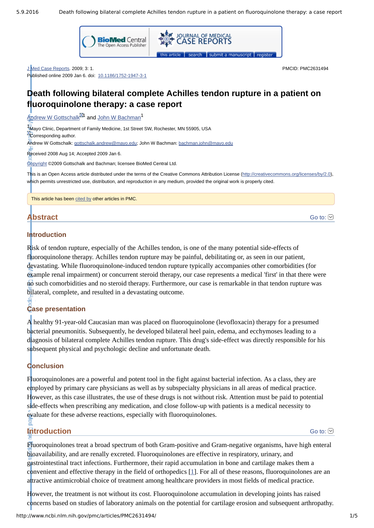

This article has been [cited](http://www.ncbi.nlm.nih.gov/pmc/articles/PMC2631494/citedby/) by other articles in PMC.

## **Abstract**

### **Introduction**

Risk of tendon rupture, especially of the Achilles tendon, is one of the many potential sideeffects of fluoroquinolone therapy. Achilles tendon rupture may be painful, debilitating or, as seen in our patient, devastating. While fluoroquinolone-induced tendon rupture typically accompanies other comorbidities (for example renal impairment) or concurrent steroid therapy, our case represents a medical 'first' in that there were no such comorbidities and no steroid therapy. Furthermore, our case is remarkable in that tendon rupture was bilateral, complete, and resulted in a devastating outcome.

#### **Case presentation**

A healthy 91-year-old Caucasian man was placed on fluoroquinolone (levofloxacin) therapy for a presumed bacterial pneumonitis. Subsequently, he developed bilateral heel pain, edema, and ecchymoses leading to a diagnosis of bilateral complete Achilles tendon rupture. This drug's sideeffect was directly responsible for his subsequent physical and psychologic decline and unfortunate death.

### **Conclusion**

Fluoroquinolones are a powerful and potent tool in the fight against bacterial infection. As a class, they are employed by primary care physicians as well as by subspecialty physicians in all areas of medical practice. However, as this case illustrates, the use of these drugs is not without risk. Attention must be paid to potential side-effects when prescribing any medication, and close follow-up with patients is a medical necessity to evaluate for these adverse reactions, especially with fluoroquinolones.

## **Introduction**

Go to:  $\odot$ 

Go to:  $\odot$ 

Fluoroquinolones treat a broad spectrum of both Gram-positive and Gram-negative organisms, have high enteral bioavailability, and are renally excreted. Fluoroquinolones are effective in respiratory, urinary, and gastrointestinal tract infections. Furthermore, their rapid accumulation in bone and cartilage makes them a convenient and effective therapy in the field of orthopedics [\[1](#page-3-0)]. For all of these reasons, fluoroquinolones are an attractive antimicrobial choice of treatment among healthcare providers in most fields of medical practice.

However, the treatment is not without its cost. Fluoroquinolone accumulation in developing joints has raised concerns based on studies of laboratory animals on the potential for cartilage erosion and subsequent arthropathy.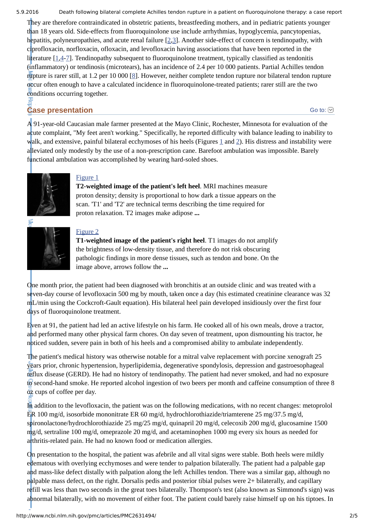5.9.2016 Death following bilateral complete Achilles tendon rupture in a patient on fluoroquinolone therapy: a case report

They are therefore contraindicated in obstetric patients, breastfeeding mothers, and in pediatric patients younger than 18 years old. Sideeffects from fluoroquinolone use include arrhythmias, hypoglycemia, pancytopenias, hepatitis, polyneuropathies, and acute renal failure [[2](#page-3-1),[3](#page-3-2)]. Another side-effect of concern is tendinopathy, with ciprofloxacin, norfloxacin, ofloxacin, and levofloxacin having associations that have been reported in the literature [\[1,](#page-3-0)[4](#page-3-3)[7\]](#page-3-4). Tendinopathy subsequent to fluoroquinolone treatment, typically classified as tendonitis (inflammatory) or tendinosis (microtears), has an incidence of 2.4 per 10 000 patients. Partial Achilles tendon rupture is rarer still, at 1.2 per 10 000 [\[8\]](#page-3-5). However, neither complete tendon rupture nor bilateral tendon rupture occur often enough to have a calculated incidence in fluoroquinolonetreated patients; rarer still are the two conditions occurring together.

# **Case presentation**

Go to:  $\heartsuit$ 

A 91-year-old Caucasian male farmer presented at the Mayo Clinic, Rochester, Minnesota for evaluation of the acute complaint, "My feet aren't working." Specifically, he reported difficulty with balance leading to inability to walk, and extensive, painful bilateral ecchymoses of his heels (Figures  $\perp$  and  $\geq$ ). His distress and instability were alleviated only modestly by the use of a non-prescription cane. Barefoot ambulation was impossible. Barely functional ambulation was accomplished by wearing hard-soled shoes.



## [Figure](http://www.ncbi.nlm.nih.gov/pmc/articles/PMC2631494/figure/F1/) 1

**T2weighted image of the patient's left heel**. MRI machines measure proton density; density is proportional to how dark a tissue appears on the scan. 'T1' and 'T2' are technical terms describing the time required for proton relaxation. T2 images make adipose **...**



### [Figure](http://www.ncbi.nlm.nih.gov/pmc/articles/PMC2631494/figure/F2/) 2

**T1weighted image of the patient's right heel**. T1 images do not amplify the brightness of low-density tissue, and therefore do not risk obscuring pathologic findings in more dense tissues, such as tendon and bone. On the image above, arrows follow the **...**

One month prior, the patient had been diagnosed with bronchitis at an outside clinic and was treated with a seven-day course of levofloxacin 500 mg by mouth, taken once a day (his estimated creatinine clearance was 32 mL/min using the Cockcroft-Gault equation). His bilateral heel pain developed insidiously over the first four days of fluoroquinolone treatment.

Even at 91, the patient had led an active lifestyle on his farm. He cooked all of his own meals, drove a tractor, and performed many other physical farm chores. On day seven of treatment, upon dismounting his tractor, he noticed sudden, severe pain in both of his heels and a compromised ability to ambulate independently.

The patient's medical history was otherwise notable for a mitral valve replacement with porcine xenograft 25 years prior, chronic hypertension, hyperlipidemia, degenerative spondylosis, depression and gastroesophageal reflux disease (GERD). He had no history of tendinopathy. The patient had never smoked, and had no exposure to second-hand smoke. He reported alcohol ingestion of two beers per month and caffeine consumption of three 8 oz cups of coffee per day.

In addition to the levofloxacin, the patient was on the following medications, with no recent changes: metoprolol ER 100 mg/d, isosorbide mononitrate ER 60 mg/d, hydrochlorothiazide/triamterene 25 mg/37.5 mg/d, spironolactone/hydrochlorothiazide 25 mg/25 mg/d, quinapril 20 mg/d, celecoxib 200 mg/d, glucosamine 1500 mg/d, sertraline 100 mg/d, omeprazole 20 mg/d, and acetaminophen 1000 mg every six hours as needed for arthritis-related pain. He had no known food or medication allergies.

On presentation to the hospital, the patient was afebrile and all vital signs were stable. Both heels were mildly edematous with overlying ecchymoses and were tender to palpation bilaterally. The patient had a palpable gap and masslike defect distally with palpation along the left Achilles tendon. There was a similar gap, although no palpable mass defect, on the right. Dorsalis pedis and posterior tibial pulses were 2+ bilaterally, and capillary refill was less than two seconds in the great toes bilaterally. Thompson's test (also known as Simmond's sign) was abnormal bilaterally, with no movement of either foot. The patient could barely raise himself up on his tiptoes. In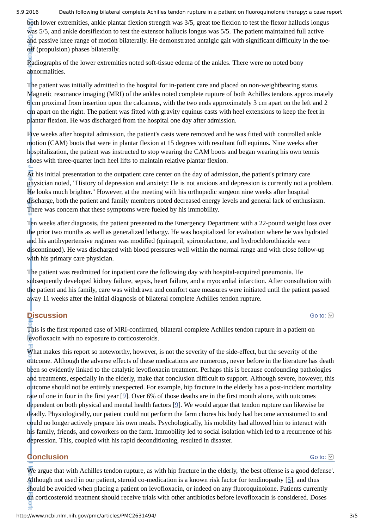5.9.2016 Death following bilateral complete Achilles tendon rupture in a patient on fluoroquinolone therapy: a case report

both lower extremities, ankle plantar flexion strength was 3/5, great toe flexion to test the flexor hallucis longus was 5/5, and ankle dorsiflexion to test the extensor hallucis longus was 5/5. The patient maintained full active and passive knee range of motion bilaterally. He demonstrated antalgic gait with significant difficulty in the toeoff (propulsion) phases bilaterally.

Radiographs of the lower extremities noted soft-tissue edema of the ankles. There were no noted bony abnormalities.

The patient was initially admitted to the hospital for in-patient care and placed on non-weightbearing status. Magnetic resonance imaging (MRI) of the ankles noted complete rupture of both Achilles tendons approximately 6 cm proximal from insertion upon the calcaneus, with the two ends approximately 3 cm apart on the left and 2 cm apart on the right. The patient was fitted with gravity equinus casts with heel extensions to keep the feet in plantar flexion. He was discharged from the hospital one day after admission.

Five weeks after hospital admission, the patient's casts were removed and he was fitted with controlled ankle motion (CAM) boots that were in plantar flexion at 15 degrees with resultant full equinus. Nine weeks after hospitalization, the patient was instructed to stop wearing the CAM boots and began wearing his own tennis shoes with three-quarter inch heel lifts to maintain relative plantar flexion.

At his initial presentation to the outpatient care center on the day of admission, the patient's primary care physician noted, "History of depression and anxiety: He is not anxious and depression is currently not a problem. He looks much brighter." However, at the meeting with his orthopedic surgeon nine weeks after hospital discharge, both the patient and family members noted decreased energy levels and general lack of enthusiasm. There was concern that these symptoms were fueled by his immobility.

Ten weeks after diagnosis, the patient presented to the Emergency Department with a 22-pound weight loss over the prior two months as well as generalized lethargy. He was hospitalized for evaluation where he was hydrated and his antihypertensive regimen was modified (quinapril, spironolactone, and hydrochlorothiazide were discontinued). He was discharged with blood pressures well within the normal range and with close follow-up with his primary care physician.

The patient was readmitted for inpatient care the following day with hospital-acquired pneumonia. He subsequently developed kidney failure, sepsis, heart failure, and a myocardial infarction. After consultation with the patient and his family, care was withdrawn and comfort care measures were initiated until the patient passed away 11 weeks after the initial diagnosis of bilateral complete Achilles tendon rupture.

## **Discussion**

#### Go to:  $\lbrack\heartsuit\rbrack$

This is the first reported case of MRI-confirmed, bilateral complete Achilles tendon rupture in a patient on levofloxacin with no exposure to corticosteroids.

What makes this report so noteworthy, however, is not the severity of the side-effect, but the severity of the outcome. Although the adverse effects of these medications are numerous, never before in the literature has death been so evidently linked to the catalytic levofloxacin treatment. Perhaps this is because confounding pathologies and treatments, especially in the elderly, make that conclusion difficult to support. Although severe, however, this outcome should not be entirely unexpected. For example, hip fracture in the elderly has a post-incident mortality rate of one in four in the first year [\[9\]](#page-3-6). Over 6% of those deaths are in the first month alone, with outcomes dependent on both physical and mental health factors [[9](#page-3-6)]. We would argue that tendon rupture can likewise be deadly. Physiologically, our patient could not perform the farm chores his body had become accustomed to and could no longer actively prepare his own meals. Psychologically, his mobility had allowed him to interact with his family, friends, and coworkers on the farm. Immobility led to social isolation which led to a recurrence of his depression. This, coupled with his rapid deconditioning, resulted in disaster.

## **Conclusion**

Go to:  $\lbrack \heartsuit \rbrack$ 

We argue that with Achilles tendon rupture, as with hip fracture in the elderly, 'the best offense is a good defense'. Although not used in our patient, steroid co-medication is a known risk factor for tendinopathy  $[5]$  $[5]$ , and thus should be avoided when placing a patient on levofloxacin, or indeed on any fluoroquinolone. Patients currently on corticosteroid treatment should receive trials with other antibiotics before levofloxacin is considered. Doses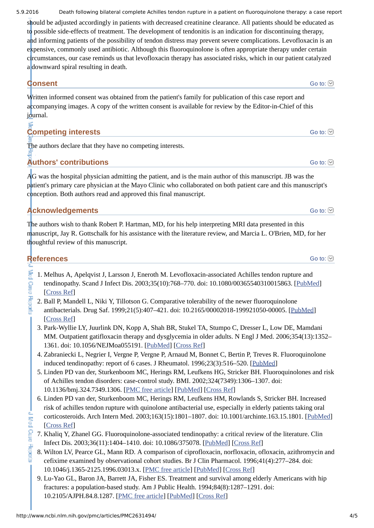5.9.2016 Death following bilateral complete Achilles tendon rupture in a patient on fluoroquinolone therapy: a case report should be adjusted accordingly in patients with decreased creatinine clearance. All patients should be educated as to possible sideeffects of treatment. The development of tendonitis is an indication for discontinuing therapy, and informing patients of the possibility of tendon distress may prevent severe complications. Levofloxacin is an expensive, commonly used antibiotic. Although this fluoroquinolone is often appropriate therapy under certain circumstances, our case reminds us that levofloxacin therapy has associated risks, which in our patient catalyzed

a downward spiral resulting in death.

## **Consent**

Written informed consent was obtained from the patient's family for publication of this case report and accompanying images. A copy of the written consent is available for review by the Editor-in-Chief of this journal.

## **Competing interests**

The authors declare that they have no competing interests.

## **Authors' contributions**

AG was the hospital physician admitting the patient, and is the main author of this manuscript. JB was the patient's primary care physician at the Mayo Clinic who collaborated on both patient care and this manuscript's conception. Both authors read and approved this final manuscript.

## **Acknowledgements**

The authors wish to thank Robert P. Hartman, MD, for his help interpreting MRI data presented in this manuscript, Jay R. Gottschalk for his assistance with the literature review, and Marcia L. O'Brien, MD, for her thoughtful review of this manuscript.

## **References**

**Med** 

Hecpott

Pierre Li

GEBO

**Hoosh** 

- <span id="page-3-0"></span>1. Melhus A, Apelqvist J, Larsson J, Eneroth M. Levofloxacin-associated Achilles tendon rupture and tendinopathy. Scand J Infect Dis. 2003;35(10):768–770. doi: 10.1080/00365540310015863. [\[PubMed](http://www.ncbi.nlm.nih.gov/pubmed/14606622)] [\[Cross](http://dx.doi.org/10.1080%2F00365540310015863) Ref]
- <span id="page-3-1"></span>2. Ball P, Mandell L, Niki Y, Tillotson G. Comparative tolerability of the newer fluoroquinolone antibacterials. Drug Saf. 1999;21(5):407-421. doi: 10.2165/00002018-199921050-00005. [[PubMed](http://www.ncbi.nlm.nih.gov/pubmed/10554054)] [\[Cross](http://dx.doi.org/10.2165%2F00002018-199921050-00005) Ref]
- <span id="page-3-2"></span>3. Park-Wyllie LY, Juurlink DN, Kopp A, Shah BR, Stukel TA, Stumpo C, Dresser L, Low DE, Mamdani MM. Outpatient gatifloxacin therapy and dysglycemia in older adults. N Engl J Med. 2006;354(13):1352– 1361. doi: 10.1056/NEJMoa055191. [\[PubMed\]](http://www.ncbi.nlm.nih.gov/pubmed/16510739) [\[Cross](http://dx.doi.org/10.1056%2FNEJMoa055191) Ref]
- <span id="page-3-3"></span>4. Zabraniecki L, Negrier I, Vergne P, Vergne P, Arnaud M, Bonnet C, Bertin P, Treves R. Fluoroquinolone induced tendinopathy: report of 6 cases. J Rheumatol. 1996;23(3):516-520. [\[PubMed\]](http://www.ncbi.nlm.nih.gov/pubmed/8832995)
- <span id="page-3-7"></span>5. Linden PD van der, Sturkenboom MC, Herings RM, Leufkens HG, Stricker BH. Fluoroquinolones and risk of Achilles tendon disorders: case-control study. BMI. 2002;324(7349):1306-1307. doi: 10.1136/bmj.324.7349.1306. [PMC free [article](http://www.ncbi.nlm.nih.gov/pmc/articles/PMC113766/)] [\[PubMed\]](http://www.ncbi.nlm.nih.gov/pubmed/12039823) [[Cross](http://dx.doi.org/10.1136%2Fbmj.324.7349.1306) Ref]
- 6. Linden PD van der, Sturkenboom MC, Herings RM, Leufkens HM, Rowlands S, Stricker BH. Increased risk of achilles tendon rupture with quinolone antibacterial use, especially in elderly patients taking oral corticosteroids. Arch Intern Med. 2003;163(15):1801–1807. doi: 10.1001/archinte.163.15.1801. [[PubMed](http://www.ncbi.nlm.nih.gov/pubmed/12912715)] [\[Cross](http://dx.doi.org/10.1001%2Farchinte.163.15.1801) Ref]
- <span id="page-3-4"></span>7. Khaliq Y, Zhanel GG. Fluoroquinolone-associated tendinopathy: a critical review of the literature. Clin Infect Dis. 2003;36(11):1404–1410. doi: 10.1086/375078. [[PubMed](http://www.ncbi.nlm.nih.gov/pubmed/12766835)] [\[Cross](http://dx.doi.org/10.1086%2F375078) Ref]
- <span id="page-3-5"></span>8. Wilton LV, Pearce GL, Mann RD. A comparison of ciprofloxacin, norfloxacin, ofloxacin, azithromycin and cefixime examined by observational cohort studies. Br J Clin Pharmacol. 1996;41(4):277–284. doi: 10.1046/j.13652125.1996.03013.x. [PMC free [article](http://www.ncbi.nlm.nih.gov/pmc/articles/PMC2042595/)] [\[PubMed\]](http://www.ncbi.nlm.nih.gov/pubmed/8730972) [[Cross](http://dx.doi.org/10.1046%2Fj.1365-2125.1996.03013.x) Ref]
- <span id="page-3-6"></span>9. LuYao GL, Baron JA, Barrett JA, Fisher ES. Treatment and survival among elderly Americans with hip fractures: a population-based study. Am J Public Health. 1994;84(8):1287-1291. doi: 10.2105/AJPH.84.8.1287. [PMC free [article](http://www.ncbi.nlm.nih.gov/pmc/articles/PMC1615444/)] [\[PubMed\]](http://www.ncbi.nlm.nih.gov/pubmed/8059887) [[Cross](http://dx.doi.org/10.2105%2FAJPH.84.8.1287) Ref]

Go to:  $\odot$ 

Go to: **⊙** 

Go to:  $\odot$ 

Go to:  $\odot$ 

Go to: **⊙**